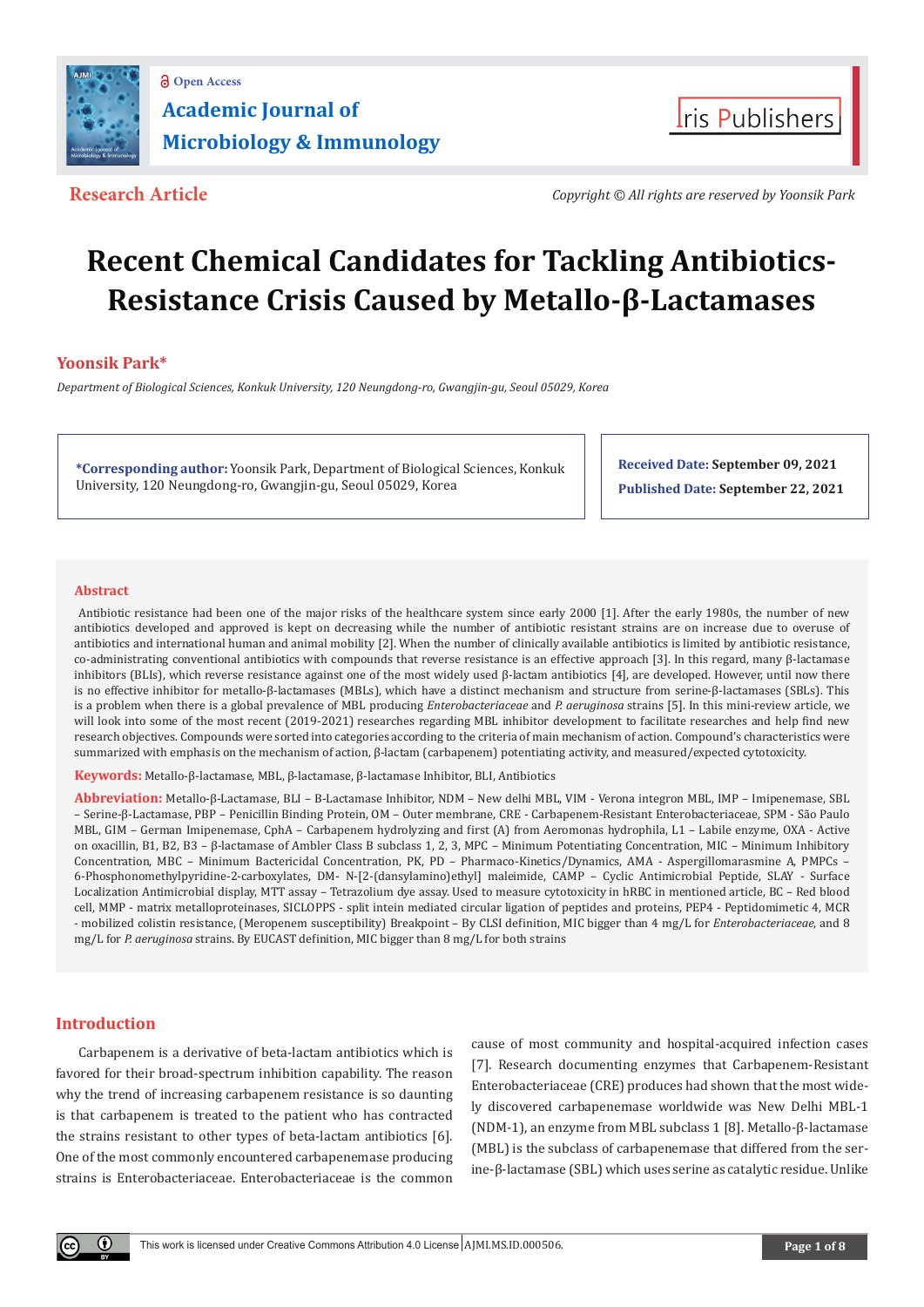



**Research Article** *Copyright © All rights are reserved by Yoonsik Park*

# **Recent Chemical Candidates for Tackling Antibiotics-Resistance Crisis Caused by Metallo-β-Lactamases**

# **Yoonsik Park\***

*Department of Biological Sciences, Konkuk University, 120 Neungdong-ro, Gwangjin-gu, Seoul 05029, Korea*

**\*Corresponding author:** Yoonsik Park, Department of Biological Sciences, Konkuk University, 120 Neungdong-ro, Gwangjin-gu, Seoul 05029, Korea

**Received Date: September 09, 2021 Published Date: September 22, 2021**

#### **Abstract**

 Antibiotic resistance had been one of the major risks of the healthcare system since early 2000 [1]. After the early 1980s, the number of new antibiotics developed and approved is kept on decreasing while the number of antibiotic resistant strains are on increase due to overuse of antibiotics and international human and animal mobility [2]. When the number of clinically available antibiotics is limited by antibiotic resistance, co-administrating conventional antibiotics with compounds that reverse resistance is an effective approach [3]. In this regard, many β-lactamase inhibitors (BLIs), which reverse resistance against one of the most widely used β-lactam antibiotics [4], are developed. However, until now there is no effective inhibitor for metallo-β-lactamases (MBLs), which have a distinct mechanism and structure from serine-β-lactamases (SBLs). This is a problem when there is a global prevalence of MBL producing *Enterobacteriaceae* and *P. aeruginosa* strains [5]. In this mini-review article, we will look into some of the most recent (2019-2021) researches regarding MBL inhibitor development to facilitate researches and help find new research objectives. Compounds were sorted into categories according to the criteria of main mechanism of action. Compound's characteristics were summarized with emphasis on the mechanism of action, β-lactam (carbapenem) potentiating activity, and measured/expected cytotoxicity.

**Keywords:** Metallo-β-lactamase, MBL, β-lactamase, β-lactamase Inhibitor, BLI, Antibiotics

**Abbreviation:** Metallo-β-Lactamase, BLI – Β-Lactamase Inhibitor, NDM – New delhi MBL, VIM - Verona integron MBL, IMP – Imipenemase, SBL – Serine-β-Lactamase, PBP – Penicillin Binding Protein, OM – Outer membrane, CRE - Carbapenem-Resistant Enterobacteriaceae, SPM - São Paulo MBL, GIM – German Imipenemase, CphA – Carbapenem hydrolyzing and first (A) from Aeromonas hydrophila, L1 – Labile enzyme, OXA - Active on oxacillin, B1, B2, B3 – β-lactamase of Ambler Class B subclass 1, 2, 3, MPC – Minimum Potentiating Concentration, MIC – Minimum Inhibitory Concentration, MBC – Minimum Bactericidal Concentration, PK, PD – Pharmaco-Kinetics/Dynamics, AMA - Aspergillomarasmine A, PMPCs – 6-Phosphonomethylpyridine-2-carboxylates, DM- N-[2-(dansylamino)ethyl] maleimide, CAMP – Cyclic Antimicrobial Peptide, SLAY - Surface Localization Antimicrobial display, MTT assay – Tetrazolium dye assay. Used to measure cytotoxicity in hRBC in mentioned article, BC – Red blood cell, MMP - matrix metalloproteinases, SICLOPPS - split intein mediated circular ligation of peptides and proteins, PEP4 - Peptidomimetic 4, MCR - mobilized colistin resistance, (Meropenem susceptibility) Breakpoint – By CLSI definition, MIC bigger than 4 mg/L for *Enterobacteriaceae*, and 8 mg/L for *P. aeruginosa* strains. By EUCAST definition, MIC bigger than 8 mg/L for both strains

# **Introduction**

Carbapenem is a derivative of beta-lactam antibiotics which is favored for their broad-spectrum inhibition capability. The reason why the trend of increasing carbapenem resistance is so daunting is that carbapenem is treated to the patient who has contracted the strains resistant to other types of beta-lactam antibiotics [6]. One of the most commonly encountered carbapenemase producing strains is Enterobacteriaceae. Enterobacteriaceae is the common cause of most community and hospital-acquired infection cases [7]. Research documenting enzymes that Carbapenem-Resistant Enterobacteriaceae (CRE) produces had shown that the most widely discovered carbapenemase worldwide was New Delhi MBL-1 (NDM-1), an enzyme from MBL subclass 1 [8]. Metallo-β-lactamase (MBL) is the subclass of carbapenemase that differed from the serine-β-lactamase (SBL) which uses serine as catalytic residue. Unlike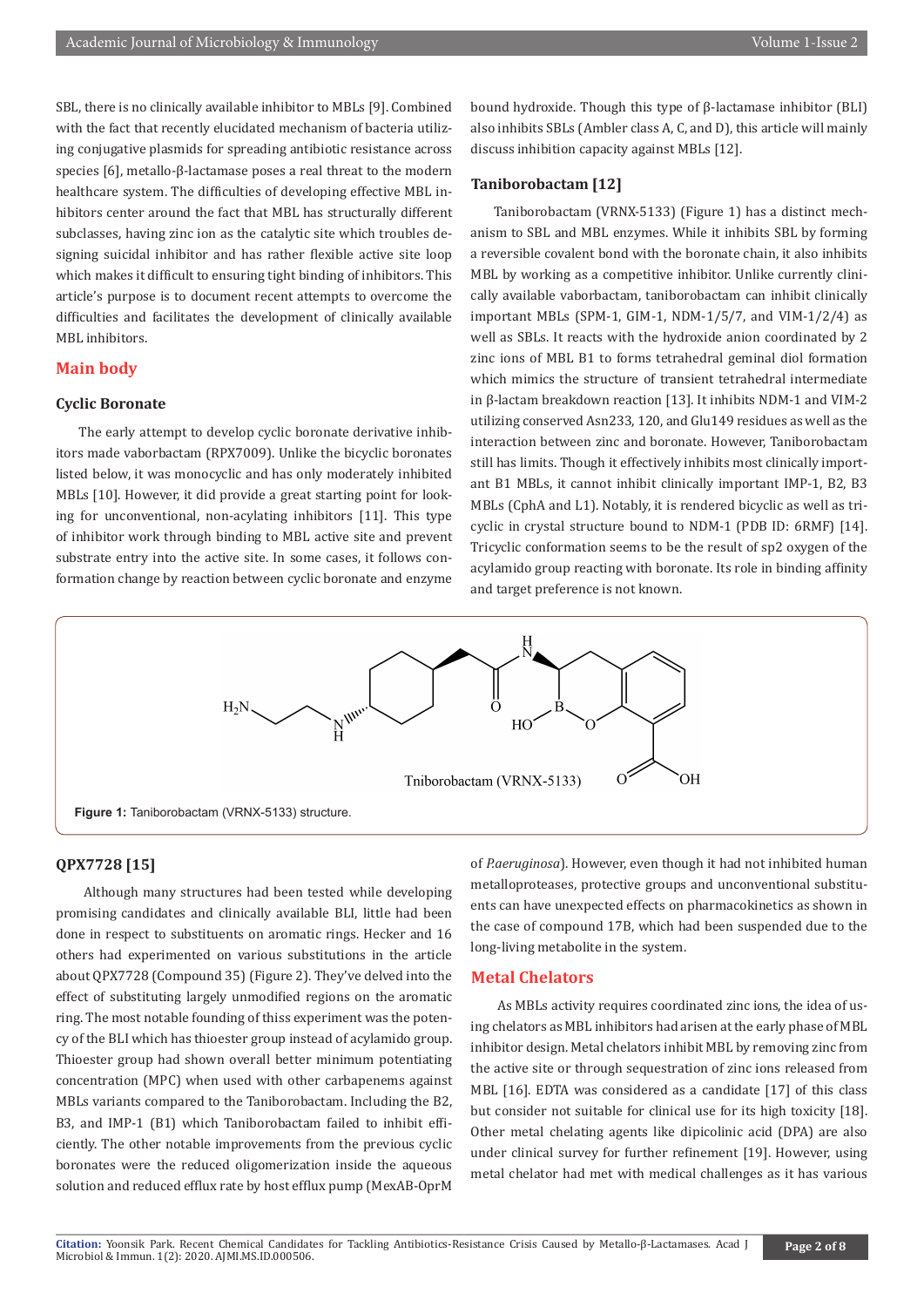SBL, there is no clinically available inhibitor to MBLs [9]. Combined with the fact that recently elucidated mechanism of bacteria utilizing conjugative plasmids for spreading antibiotic resistance across species [6], metallo-β-lactamase poses a real threat to the modern healthcare system. The difficulties of developing effective MBL inhibitors center around the fact that MBL has structurally different subclasses, having zinc ion as the catalytic site which troubles designing suicidal inhibitor and has rather flexible active site loop which makes it difficult to ensuring tight binding of inhibitors. This article's purpose is to document recent attempts to overcome the difficulties and facilitates the development of clinically available MBL inhibitors.

#### **Main body**

#### **Cyclic Boronate**

The early attempt to develop cyclic boronate derivative inhibitors made vaborbactam (RPX7009). Unlike the bicyclic boronates listed below, it was monocyclic and has only moderately inhibited MBLs [10]. However, it did provide a great starting point for looking for unconventional, non-acylating inhibitors [11]. This type of inhibitor work through binding to MBL active site and prevent substrate entry into the active site. In some cases, it follows conformation change by reaction between cyclic boronate and enzyme

bound hydroxide. Though this type of β-lactamase inhibitor (BLI) also inhibits SBLs (Ambler class A, C, and D), this article will mainly discuss inhibition capacity against MBLs [12].

# **Taniborobactam [12]**

Taniborobactam (VRNX-5133) (Figure 1) has a distinct mechanism to SBL and MBL enzymes. While it inhibits SBL by forming a reversible covalent bond with the boronate chain, it also inhibits MBL by working as a competitive inhibitor. Unlike currently clinically available vaborbactam, taniborobactam can inhibit clinically important MBLs (SPM-1, GIM-1, NDM-1/5/7, and VIM-1/2/4) as well as SBLs. It reacts with the hydroxide anion coordinated by 2 zinc ions of MBL B1 to forms tetrahedral geminal diol formation which mimics the structure of transient tetrahedral intermediate in β-lactam breakdown reaction [13]. It inhibits NDM-1 and VIM-2 utilizing conserved Asn233, 120, and Glu149 residues as well as the interaction between zinc and boronate. However, Taniborobactam still has limits. Though it effectively inhibits most clinically important B1 MBLs, it cannot inhibit clinically important IMP-1, B2, B3 MBLs (CphA and L1). Notably, it is rendered bicyclic as well as tricyclic in crystal structure bound to NDM-1 (PDB ID: 6RMF) [14]. Tricyclic conformation seems to be the result of sp2 oxygen of the acylamido group reacting with boronate. Its role in binding affinity and target preference is not known.



#### **QPX7728 [15]**

 Although many structures had been tested while developing promising candidates and clinically available BLI, little had been done in respect to substituents on aromatic rings. Hecker and 16 others had experimented on various substitutions in the article about QPX7728 (Compound 35) (Figure 2). They've delved into the effect of substituting largely unmodified regions on the aromatic ring. The most notable founding of thiss experiment was the potency of the BLI which has thioester group instead of acylamido group. Thioester group had shown overall better minimum potentiating concentration (MPC) when used with other carbapenems against MBLs variants compared to the Taniborobactam. Including the B2, B3, and IMP-1 (B1) which Taniborobactam failed to inhibit efficiently. The other notable improvements from the previous cyclic boronates were the reduced oligomerization inside the aqueous solution and reduced efflux rate by host efflux pump (MexAB-OprM

of *P.aeruginosa*). However, even though it had not inhibited human metalloproteases, protective groups and unconventional substituents can have unexpected effects on pharmacokinetics as shown in the case of compound 17B, which had been suspended due to the long-living metabolite in the system.

# **Metal Chelators**

 As MBLs activity requires coordinated zinc ions, the idea of using chelators as MBL inhibitors had arisen at the early phase of MBL inhibitor design. Metal chelators inhibit MBL by removing zinc from the active site or through sequestration of zinc ions released from MBL [16]. EDTA was considered as a candidate [17] of this class but consider not suitable for clinical use for its high toxicity [18]. Other metal chelating agents like dipicolinic acid (DPA) are also under clinical survey for further refinement [19]. However, using metal chelator had met with medical challenges as it has various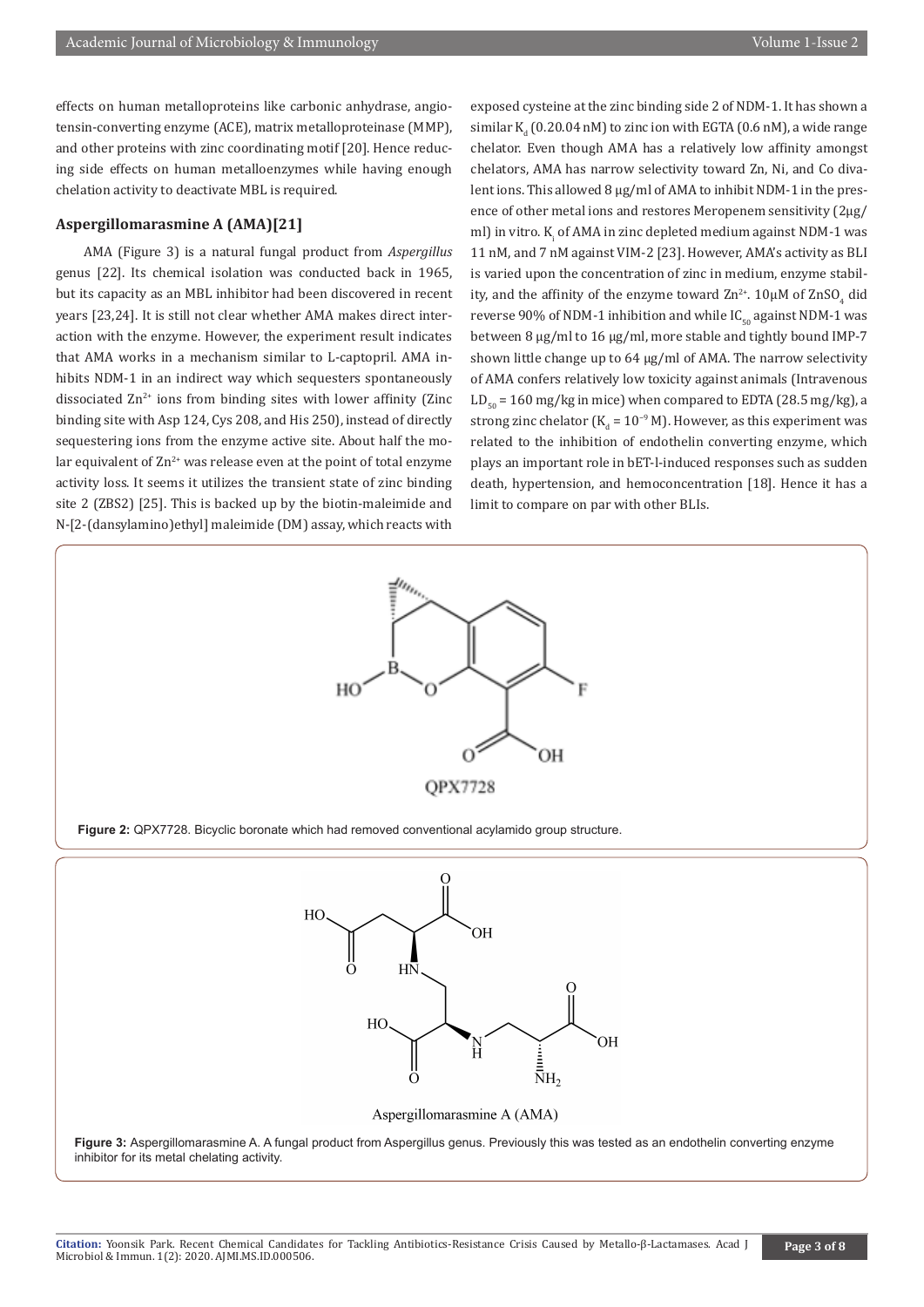effects on human metalloproteins like carbonic anhydrase, angiotensin-converting enzyme (ACE), matrix metalloproteinase (MMP), and other proteins with zinc coordinating motif [20]. Hence reducing side effects on human metalloenzymes while having enough chelation activity to deactivate MBL is required.

## **Aspergillomarasmine A (AMA)[21]**

 AMA (Figure 3) is a natural fungal product from *Aspergillus* genus [22]. Its chemical isolation was conducted back in 1965, but its capacity as an MBL inhibitor had been discovered in recent years [23,24]. It is still not clear whether AMA makes direct interaction with the enzyme. However, the experiment result indicates that AMA works in a mechanism similar to L-captopril. AMA inhibits NDM-1 in an indirect way which sequesters spontaneously dissociated  $Zn^{2+}$  ions from binding sites with lower affinity (Zinc binding site with Asp 124, Cys 208, and His 250), instead of directly sequestering ions from the enzyme active site. About half the molar equivalent of  $\text{Zn}^{2+}$  was release even at the point of total enzyme activity loss. It seems it utilizes the transient state of zinc binding site 2 (ZBS2) [25]. This is backed up by the biotin-maleimide and N-[2-(dansylamino)ethyl] maleimide (DM) assay, which reacts with

exposed cysteine at the zinc binding side 2 of NDM-1. It has shown a similar  $\mathrm{K}_\mathrm{d}$  (0.20.04 nM) to zinc ion with EGTA (0.6 nM), a wide range chelator. Even though AMA has a relatively low affinity amongst chelators, AMA has narrow selectivity toward Zn, Ni, and Co divalent ions. This allowed 8 μg/ml of AMA to inhibit NDM-1 in the presence of other metal ions and restores Meropenem sensitivity (2μg/ ml) in vitro.  $K_i$  of AMA in zinc depleted medium against NDM-1 was 11 nM, and 7 nM against VIM-2 [23]. However, AMA's activity as BLI is varied upon the concentration of zinc in medium, enzyme stability, and the affinity of the enzyme toward  $\rm Zn^{2+}$ . 10µM of  $\rm ZnSO_{4}$  did reverse 90% of NDM-1 inhibition and while  $IC_{50}$  against NDM-1 was between 8 μg/ml to 16 μg/ml, more stable and tightly bound IMP-7 shown little change up to 64 μg/ml of AMA. The narrow selectivity of AMA confers relatively low toxicity against animals (Intravenous  $LD_{\text{eq}} = 160 \text{ mg/kg}$  in mice) when compared to EDTA (28.5 mg/kg), a strong zinc chelator (K $_{\rm d}$  = 10<sup>−9</sup> M). However, as this experiment was related to the inhibition of endothelin converting enzyme, which plays an important role in bET-l-induced responses such as sudden death, hypertension, and hemoconcentration [18]. Hence it has a limit to compare on par with other BLIs.





Aspergillomarasmine A (AMA)

**Figure 3:** Aspergillomarasmine A. A fungal product from Aspergillus genus. Previously this was tested as an endothelin converting enzyme inhibitor for its metal chelating activity.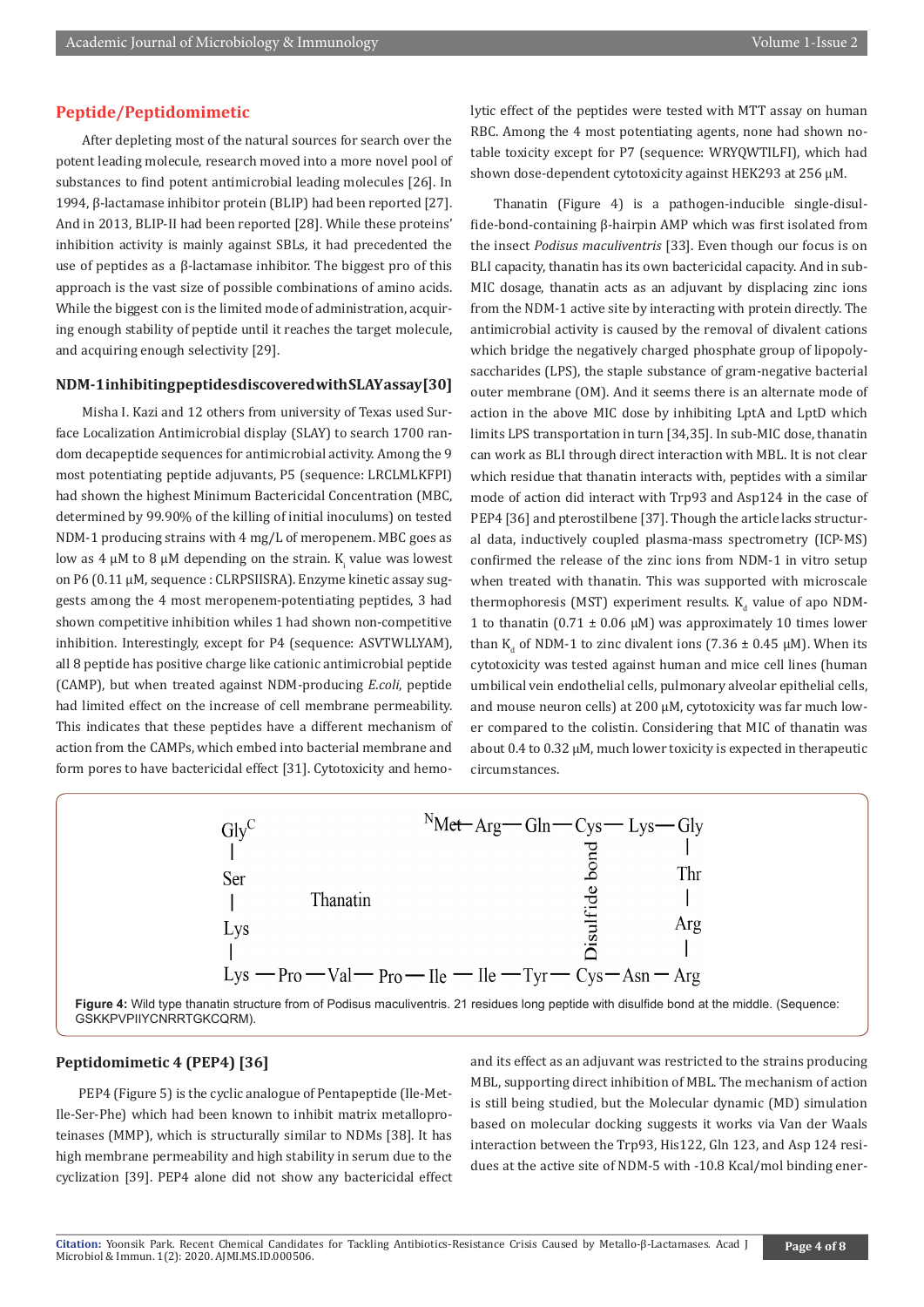# **Peptide/Peptidomimetic**

 After depleting most of the natural sources for search over the potent leading molecule, research moved into a more novel pool of substances to find potent antimicrobial leading molecules [26]. In 1994, β-lactamase inhibitor protein (BLIP) had been reported [27]. And in 2013, BLIP-II had been reported [28]. While these proteins' inhibition activity is mainly against SBLs, it had precedented the use of peptides as a β-lactamase inhibitor. The biggest pro of this approach is the vast size of possible combinations of amino acids. While the biggest con is the limited mode of administration, acquiring enough stability of peptide until it reaches the target molecule, and acquiring enough selectivity [29].

# **NDM-1 inhibiting peptides discovered with SLAY assay [30]**

 Misha I. Kazi and 12 others from university of Texas used Surface Localization Antimicrobial display (SLAY) to search 1700 random decapeptide sequences for antimicrobial activity. Among the 9 most potentiating peptide adjuvants, P5 (sequence: LRCLMLKFPI) had shown the highest Minimum Bactericidal Concentration (MBC, determined by 99.90% of the killing of initial inoculums) on tested NDM-1 producing strains with 4 mg/L of meropenem. MBC goes as low as 4 μM to 8 μM depending on the strain.  $K_i$  value was lowest on P6 (0.11 μM, sequence : CLRPSIISRA). Enzyme kinetic assay suggests among the 4 most meropenem-potentiating peptides, 3 had shown competitive inhibition whiles 1 had shown non-competitive inhibition. Interestingly, except for P4 (sequence: ASVTWLLYAM), all 8 peptide has positive charge like cationic antimicrobial peptide (CAMP), but when treated against NDM-producing *E.coli*, peptide had limited effect on the increase of cell membrane permeability. This indicates that these peptides have a different mechanism of action from the CAMPs, which embed into bacterial membrane and form pores to have bactericidal effect [31]. Cytotoxicity and hemolytic effect of the peptides were tested with MTT assay on human RBC. Among the 4 most potentiating agents, none had shown notable toxicity except for P7 (sequence: WRYQWTILFI), which had shown dose-dependent cytotoxicity against HEK293 at 256 μM.

Thanatin (Figure 4) is a pathogen-inducible single-disulfide-bond-containing β-hairpin AMP which was first isolated from the insect *Podisus maculiventris* [33]. Even though our focus is on BLI capacity, thanatin has its own bactericidal capacity. And in sub-MIC dosage, thanatin acts as an adjuvant by displacing zinc ions from the NDM-1 active site by interacting with protein directly. The antimicrobial activity is caused by the removal of divalent cations which bridge the negatively charged phosphate group of lipopolysaccharides (LPS), the staple substance of gram-negative bacterial outer membrane (OM). And it seems there is an alternate mode of action in the above MIC dose by inhibiting LptA and LptD which limits LPS transportation in turn [34,35]. In sub-MIC dose, thanatin can work as BLI through direct interaction with MBL. It is not clear which residue that thanatin interacts with, peptides with a similar mode of action did interact with Trp93 and Asp124 in the case of PEP4 [36] and pterostilbene [37]. Though the article lacks structural data, inductively coupled plasma-mass spectrometry (ICP-MS) confirmed the release of the zinc ions from NDM-1 in vitro setup when treated with thanatin. This was supported with microscale thermophoresis (MST) experiment results. K<sub>d</sub> value of apo NDM-1 to thanatin  $(0.71 \pm 0.06 \text{ uM})$  was approximately 10 times lower than K<sub>d</sub> of NDM-1 to zinc divalent ions (7.36  $\pm$  0.45  $\mu$ M). When its cytotoxicity was tested against human and mice cell lines (human umbilical vein endothelial cells, pulmonary alveolar epithelial cells, and mouse neuron cells) at 200 μM, cytotoxicity was far much lower compared to the colistin. Considering that MIC of thanatin was about 0.4 to 0.32 μM, much lower toxicity is expected in therapeutic circumstances.



**Figure 4:** Wild type thanatin structure from of Podisus maculiventris. 21 residues long peptide with disulfide bond at the middle. (Sequence: GSKKPVPIIYCNRRTGKCQRM).

# **Peptidomimetic 4 (PEP4) [36]**

PEP4 (Figure 5) is the cyclic analogue of Pentapeptide (Ile-Met-Ile-Ser-Phe) which had been known to inhibit matrix metalloproteinases (MMP), which is structurally similar to NDMs [38]. It has high membrane permeability and high stability in serum due to the cyclization [39]. PEP4 alone did not show any bactericidal effect

and its effect as an adjuvant was restricted to the strains producing MBL, supporting direct inhibition of MBL. The mechanism of action is still being studied, but the Molecular dynamic (MD) simulation based on molecular docking suggests it works via Van der Waals interaction between the Trp93, His122, Gln 123, and Asp 124 residues at the active site of NDM-5 with -10.8 Kcal/mol binding ener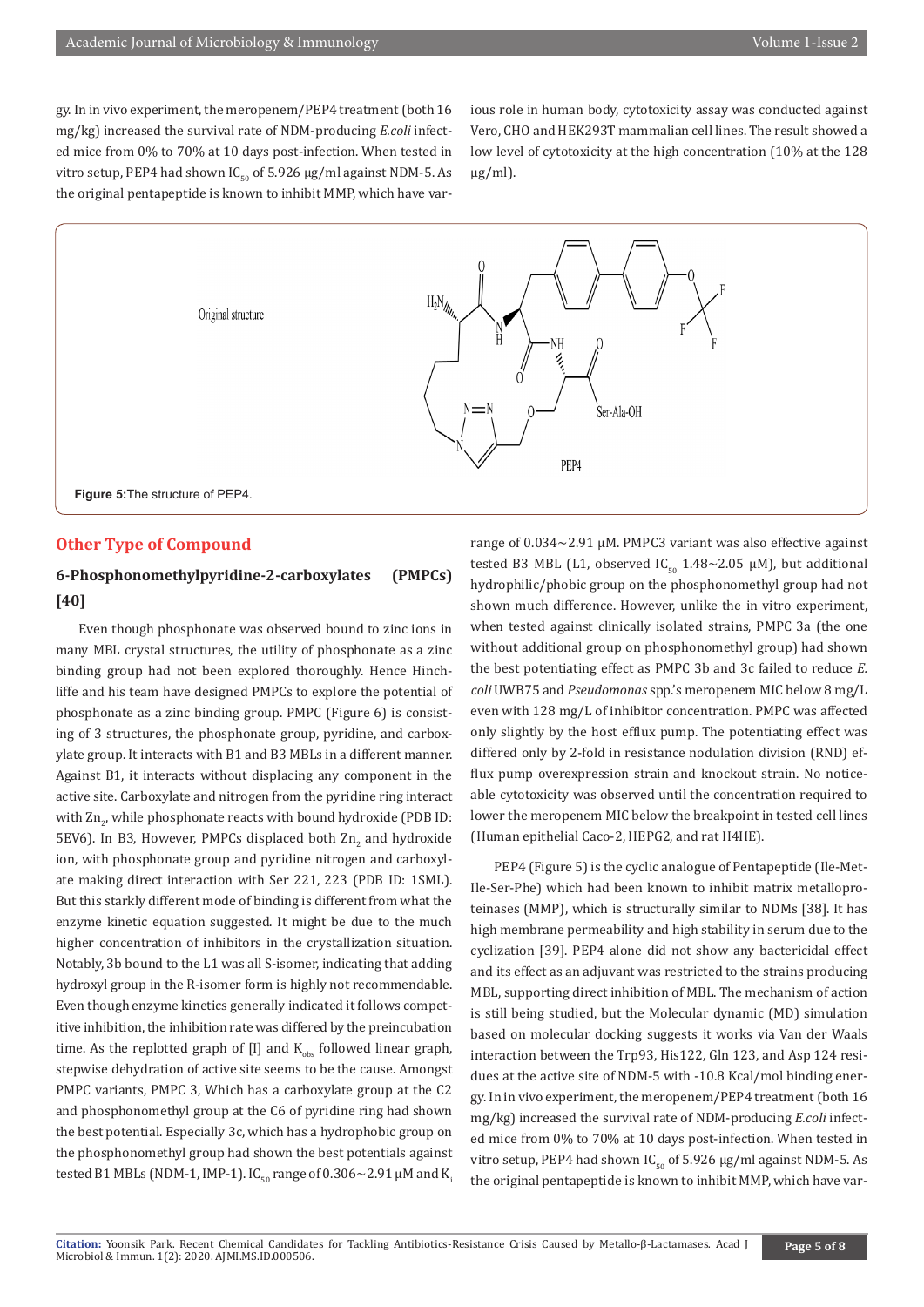gy. In in vivo experiment, the meropenem/PEP4 treatment (both 16 mg/kg) increased the survival rate of NDM-producing *E.coli* infected mice from 0% to 70% at 10 days post-infection. When tested in vitro setup, PEP4 had shown IC<sub>50</sub> of 5.926 μg/ml against NDM-5. As the original pentapeptide is known to inhibit MMP, which have various role in human body, cytotoxicity assay was conducted against Vero, CHO and HEK293T mammalian cell lines. The result showed a low level of cytotoxicity at the high concentration (10% at the 128  $\mu$ g/ml).



# **Other Type of Compound**

# **6-Phosphonomethylpyridine-2-carboxylates (PMPCs) [40]**

Even though phosphonate was observed bound to zinc ions in many MBL crystal structures, the utility of phosphonate as a zinc binding group had not been explored thoroughly. Hence Hinchliffe and his team have designed PMPCs to explore the potential of phosphonate as a zinc binding group. PMPC (Figure 6) is consisting of 3 structures, the phosphonate group, pyridine, and carboxylate group. It interacts with B1 and B3 MBLs in a different manner. Against B1, it interacts without displacing any component in the active site. Carboxylate and nitrogen from the pyridine ring interact with Zn<sub>2</sub>, while phosphonate reacts with bound hydroxide (PDB ID: 5EV6). In B3, However, PMPCs displaced both  $\rm Zn_{2}$  and hydroxide ion, with phosphonate group and pyridine nitrogen and carboxylate making direct interaction with Ser 221, 223 (PDB ID: 1SML). But this starkly different mode of binding is different from what the enzyme kinetic equation suggested. It might be due to the much higher concentration of inhibitors in the crystallization situation. Notably, 3b bound to the L1 was all S-isomer, indicating that adding hydroxyl group in the R-isomer form is highly not recommendable. Even though enzyme kinetics generally indicated it follows competitive inhibition, the inhibition rate was differed by the preincubation time. As the replotted graph of  $[I]$  and  $K_{obs}$  followed linear graph, stepwise dehydration of active site seems to be the cause. Amongst PMPC variants, PMPC 3, Which has a carboxylate group at the C2 and phosphonomethyl group at the C6 of pyridine ring had shown the best potential. Especially 3c, which has a hydrophobic group on the phosphonomethyl group had shown the best potentials against tested B1 MBLs (NDM-1, IMP-1). IC<sub>50</sub> range of 0.306~2.91  $\mu$ M and K<sub>i</sub>

range of 0.034~2.91 μM. PMPC3 variant was also effective against tested B3 MBL (L1, observed  $IC_{50}$  1.48~2.05 µM), but additional hydrophilic/phobic group on the phosphonomethyl group had not shown much difference. However, unlike the in vitro experiment, when tested against clinically isolated strains, PMPC 3a (the one without additional group on phosphonomethyl group) had shown the best potentiating effect as PMPC 3b and 3c failed to reduce *E. coli* UWB75 and *Pseudomonas* spp.'s meropenem MIC below 8 mg/L even with 128 mg/L of inhibitor concentration. PMPC was affected only slightly by the host efflux pump. The potentiating effect was differed only by 2-fold in resistance nodulation division (RND) efflux pump overexpression strain and knockout strain. No noticeable cytotoxicity was observed until the concentration required to lower the meropenem MIC below the breakpoint in tested cell lines (Human epithelial Caco-2, HEPG2, and rat H4IIE).

PEP4 (Figure 5) is the cyclic analogue of Pentapeptide (Ile-Met-Ile-Ser-Phe) which had been known to inhibit matrix metalloproteinases (MMP), which is structurally similar to NDMs [38]. It has high membrane permeability and high stability in serum due to the cyclization [39]. PEP4 alone did not show any bactericidal effect and its effect as an adjuvant was restricted to the strains producing MBL, supporting direct inhibition of MBL. The mechanism of action is still being studied, but the Molecular dynamic (MD) simulation based on molecular docking suggests it works via Van der Waals interaction between the Trp93, His122, Gln 123, and Asp 124 residues at the active site of NDM-5 with -10.8 Kcal/mol binding energy. In in vivo experiment, the meropenem/PEP4 treatment (both 16 mg/kg) increased the survival rate of NDM-producing *E.coli* infected mice from 0% to 70% at 10 days post-infection. When tested in vitro setup, PEP4 had shown  $IC_{50}$  of 5.926  $\mu$ g/ml against NDM-5. As the original pentapeptide is known to inhibit MMP, which have var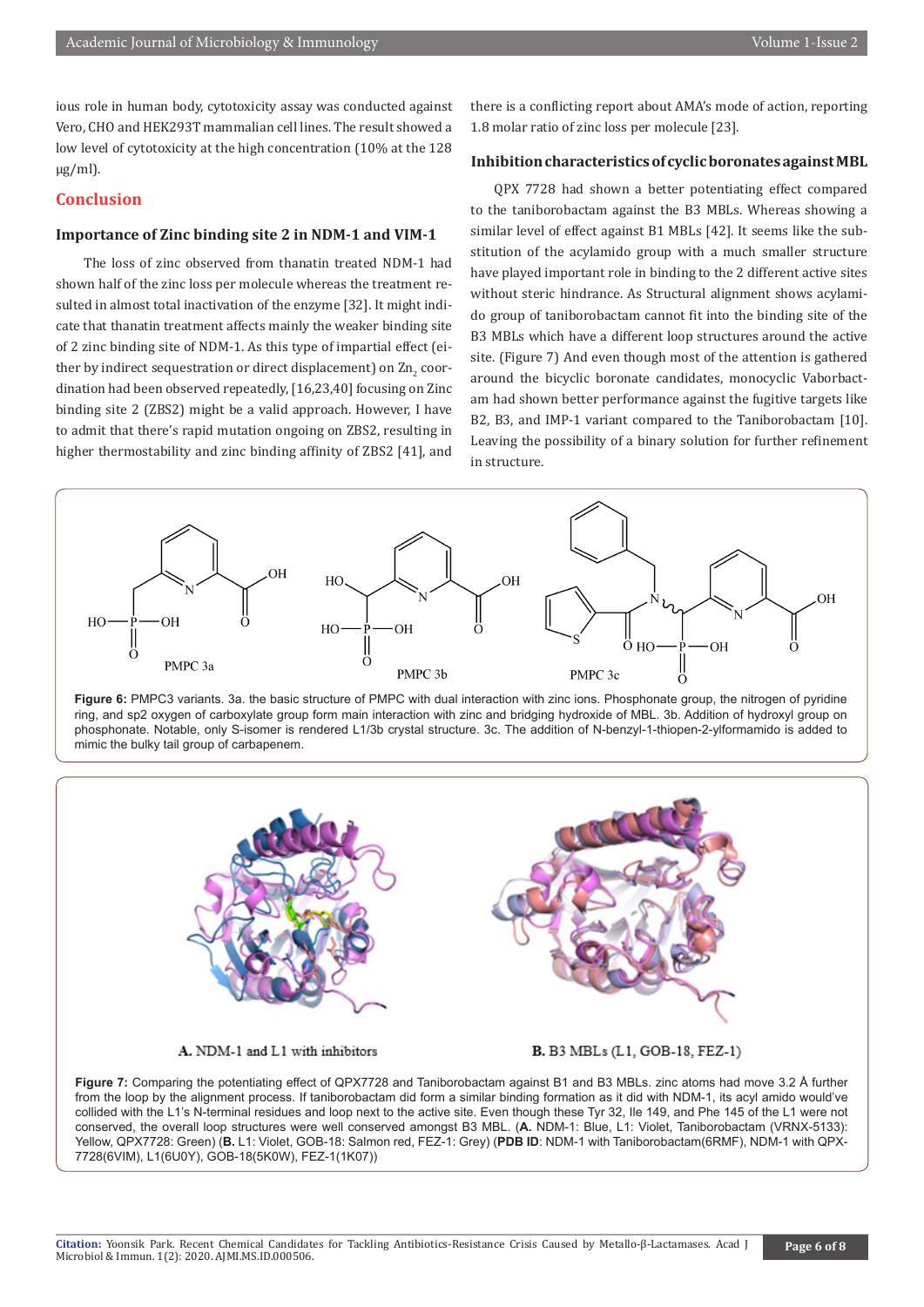ious role in human body, cytotoxicity assay was conducted against Vero, CHO and HEK293T mammalian cell lines. The result showed a low level of cytotoxicity at the high concentration (10% at the 128 μg/ml).

# **Conclusion**

# **Importance of Zinc binding site 2 in NDM-1 and VIM-1**

 The loss of zinc observed from thanatin treated NDM-1 had shown half of the zinc loss per molecule whereas the treatment resulted in almost total inactivation of the enzyme [32]. It might indicate that thanatin treatment affects mainly the weaker binding site of 2 zinc binding site of NDM-1. As this type of impartial effect (either by indirect sequestration or direct displacement) on  $\rm Zn_{2}$  coordination had been observed repeatedly, [16,23,40] focusing on Zinc binding site 2 (ZBS2) might be a valid approach. However, I have to admit that there's rapid mutation ongoing on ZBS2, resulting in higher thermostability and zinc binding affinity of ZBS2 [41], and

there is a conflicting report about AMA's mode of action, reporting 1.8 molar ratio of zinc loss per molecule [23].

# **Inhibition characteristics of cyclic boronates against MBL**

QPX 7728 had shown a better potentiating effect compared to the taniborobactam against the B3 MBLs. Whereas showing a similar level of effect against B1 MBLs [42]. It seems like the substitution of the acylamido group with a much smaller structure have played important role in binding to the 2 different active sites without steric hindrance. As Structural alignment shows acylamido group of taniborobactam cannot fit into the binding site of the B3 MBLs which have a different loop structures around the active site. (Figure 7) And even though most of the attention is gathered around the bicyclic boronate candidates, monocyclic Vaborbactam had shown better performance against the fugitive targets like B2, B3, and IMP-1 variant compared to the Taniborobactam [10]. Leaving the possibility of a binary solution for further refinement in structure.



**Figure 6:** PMPC3 variants. 3a. the basic structure of PMPC with dual interaction with zinc ions. Phosphonate group, the nitrogen of pyridine ring, and sp2 oxygen of carboxylate group form main interaction with zinc and bridging hydroxide of MBL. 3b. Addition of hydroxyl group on phosphonate. Notable, only S-isomer is rendered L1/3b crystal structure. 3c. The addition of N-benzyl-1-thiopen-2-ylformamido is added to mimic the bulky tail group of carbapenem.



**Figure 7:** Comparing the potentiating effect of QPX7728 and Taniborobactam against B1 and B3 MBLs. zinc atoms had move 3.2 Å further from the loop by the alignment process. If taniborobactam did form a similar binding formation as it did with NDM-1, its acyl amido would've collided with the L1's N-terminal residues and loop next to the active site. Even though these Tyr 32, Ile 149, and Phe 145 of the L1 were not conserved, the overall loop structures were well conserved amongst B3 MBL. (**A.** NDM-1: Blue, L1: Violet, Taniborobactam (VRNX-5133): Yellow, QPX7728: Green) (**B.** L1: Violet, GOB-18: Salmon red, FEZ-1: Grey) (**PDB ID**: NDM-1 with Taniborobactam(6RMF), NDM-1 with QPX-7728(6VIM), L1(6U0Y), GOB-18(5K0W), FEZ-1(1K07))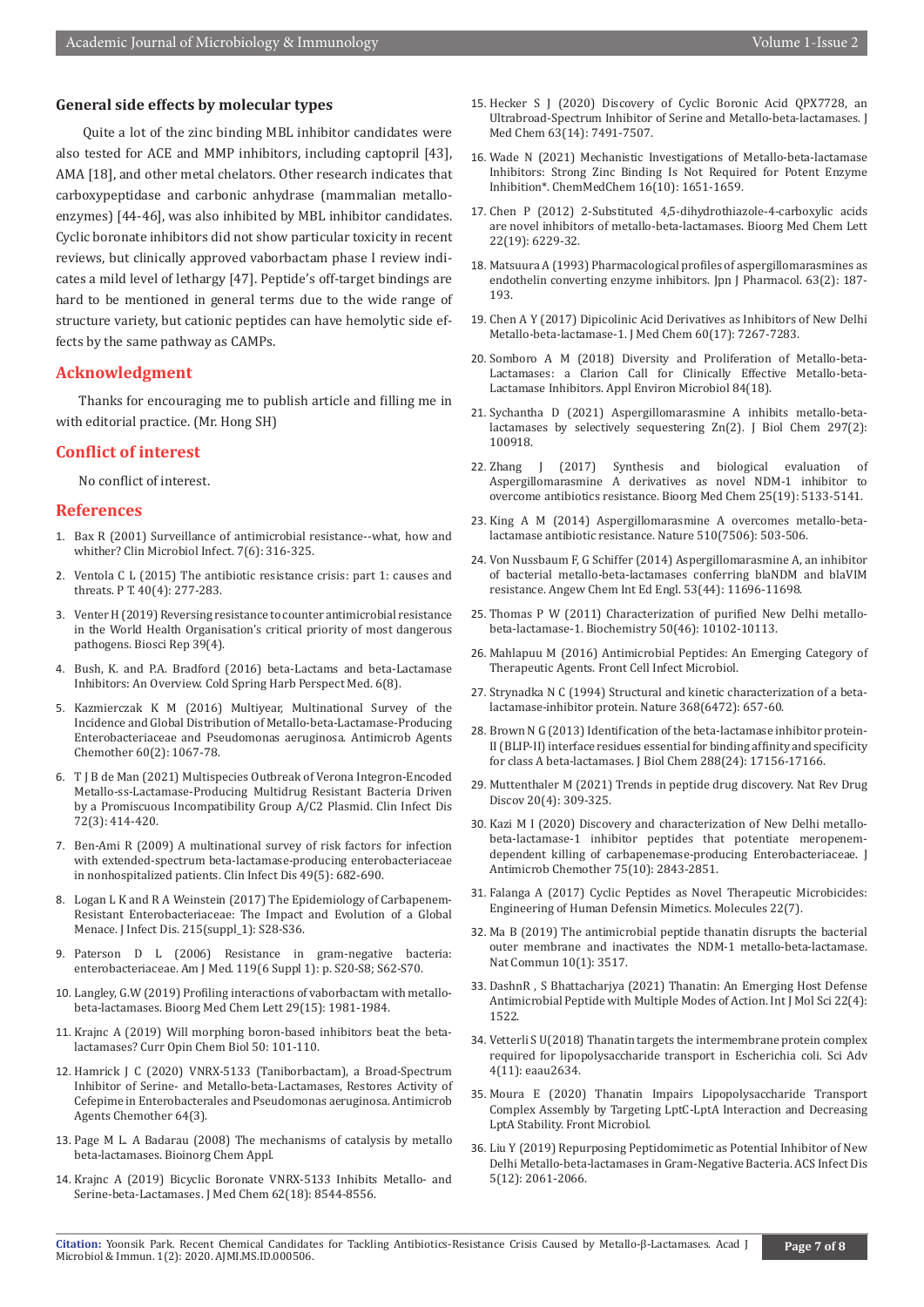#### **General side effects by molecular types**

 Quite a lot of the zinc binding MBL inhibitor candidates were also tested for ACE and MMP inhibitors, including captopril [43], AMA [18], and other metal chelators. Other research indicates that carboxypeptidase and carbonic anhydrase (mammalian metalloenzymes) [44-46], was also inhibited by MBL inhibitor candidates. Cyclic boronate inhibitors did not show particular toxicity in recent reviews, but clinically approved vaborbactam phase I review indicates a mild level of lethargy [47]. Peptide's off-target bindings are hard to be mentioned in general terms due to the wide range of structure variety, but cationic peptides can have hemolytic side effects by the same pathway as CAMPs.

#### **Acknowledgment**

Thanks for encouraging me to publish article and filling me in with editorial practice. (Mr. Hong SH)

# **Conflict of interest**

No conflict of interest.

#### **References**

- 1. [Bax R \(2001\) Surveillance of antimicrobial resistance--what, how and](https://pubmed.ncbi.nlm.nih.gov/11442565/)  [whither? Clin Microbiol Infect. 7\(6\): 316-325.](https://pubmed.ncbi.nlm.nih.gov/11442565/)
- 2. Ventola C [L \(2015\) The antibiotic resistance crisis: part 1: causes and](https://pubmed.ncbi.nlm.nih.gov/25859123/)  [threats. P T. 40\(4\): 277-283.](https://pubmed.ncbi.nlm.nih.gov/25859123/)
- 3. [Venter H \(2019\) Reversing resistance to counter antimicrobial resistance](https://pubmed.ncbi.nlm.nih.gov/30910848/)  [in the World Health Organisation's critical priority of most dangerous](https://pubmed.ncbi.nlm.nih.gov/30910848/)  [pathogens. Biosci Rep 39\(4\).](https://pubmed.ncbi.nlm.nih.gov/30910848/)
- 4. [Bush, K. and P.A. Bradford \(2016\) beta-Lactams and beta-Lactamase](https://pubmed.ncbi.nlm.nih.gov/27329032/)  [Inhibitors: An Overview. Cold Spring Harb Perspect Med. 6\(8\).](https://pubmed.ncbi.nlm.nih.gov/27329032/)
- 5. Kazmierczak K [M \(2016\) Multiyear, Multinational Survey of the](https://pubmed.ncbi.nlm.nih.gov/26643349/)  [Incidence and Global Distribution of Metallo-beta-Lactamase-Producing](https://pubmed.ncbi.nlm.nih.gov/26643349/)  [Enterobacteriaceae and Pseudomonas aeruginosa. Antimicrob Agents](https://pubmed.ncbi.nlm.nih.gov/26643349/)  [Chemother 60\(2\): 1067-78.](https://pubmed.ncbi.nlm.nih.gov/26643349/)
- 6. [T J B de Man \(2021\) Multispecies Outbreak of Verona Integron-Encoded](https://pubmed.ncbi.nlm.nih.gov/32255490/)  [Metallo-ss-Lactamase-Producing Multidrug Resistant Bacteria Driven](https://pubmed.ncbi.nlm.nih.gov/32255490/)  [by a Promiscuous Incompatibility Group A/C2 Plasmid. Clin Infect Dis](https://pubmed.ncbi.nlm.nih.gov/32255490/)  [72\(3\): 414-420.](https://pubmed.ncbi.nlm.nih.gov/32255490/)
- 7. [Ben-Ami R \(2009\) A multinational survey of risk factors for infection](https://pubmed.ncbi.nlm.nih.gov/19622043/)  [with extended-spectrum beta-lactamase-producing enterobacteriaceae](https://pubmed.ncbi.nlm.nih.gov/19622043/)  [in nonhospitalized patients. Clin Infect Dis 49\(5\): 682-690.](https://pubmed.ncbi.nlm.nih.gov/19622043/)
- 8. Logan L K and [R A Weinstein \(2017\) The Epidemiology of Carbapenem-](https://pubmed.ncbi.nlm.nih.gov/28375512/)[Resistant Enterobacteriaceae: The Impact and Evolution of a Global](https://pubmed.ncbi.nlm.nih.gov/28375512/)  [Menace. J Infect Dis. 215\(suppl\\_1\): S28-S36.](https://pubmed.ncbi.nlm.nih.gov/28375512/)
- 9. [Paterson D L \(2006\) Resistance in gram-negative bacteria:](https://pubmed.ncbi.nlm.nih.gov/16735147/)  [enterobacteriaceae. Am J Med. 119\(6 Suppl 1\): p. S20-S8; S62-S70.](https://pubmed.ncbi.nlm.nih.gov/16735147/)
- 10. [Langley, G.W \(2019\) Profiling interactions of vaborbactam with metallo](https://pubmed.ncbi.nlm.nih.gov/31171422/)[beta-lactamases. Bioorg Med Chem Lett 29\(15\): 1981-1984.](https://pubmed.ncbi.nlm.nih.gov/31171422/)
- 11. Krajnc [A \(2019\) Will morphing boron-based inhibitors beat the beta](https://pubmed.ncbi.nlm.nih.gov/31004962/)[lactamases? Curr Opin Chem Biol 50: 101-110.](https://pubmed.ncbi.nlm.nih.gov/31004962/)
- 12. [Hamrick J C \(2020\) VNRX-5133 \(Taniborbactam\), a Broad-Spectrum](https://pubmed.ncbi.nlm.nih.gov/31871094/)  [Inhibitor of Serine- and Metallo-beta-Lactamases, Restores Activity of](https://pubmed.ncbi.nlm.nih.gov/31871094/)  [Cefepime in Enterobacterales and Pseudomonas aeruginosa. Antimicrob](https://pubmed.ncbi.nlm.nih.gov/31871094/)  [Agents Chemother 64\(3\).](https://pubmed.ncbi.nlm.nih.gov/31871094/)
- 13. [Page M L. A Badarau \(2008\) The mechanisms of catalysis by metallo](https://www.hindawi.com/journals/bca/2008/576297/)  [beta-lactamases. Bioinorg Chem Appl.](https://www.hindawi.com/journals/bca/2008/576297/)
- 14. Krajnc A [\(2019\) Bicyclic Boronate VNRX-5133 Inhibits Metallo- and](https://pubs.acs.org/doi/10.1021/acs.jmedchem.9b00911)  [Serine-beta-Lactamases. J Med Chem 62\(18\): 8544-8556.](https://pubs.acs.org/doi/10.1021/acs.jmedchem.9b00911)
- 15. [Hecker S J \(2020\) Discovery of Cyclic Boronic Acid QPX7728, an](https://pubs.acs.org/doi/10.1021/acs.jmedchem.9b01976) [Ultrabroad-Spectrum Inhibitor of Serine and Metallo-beta-lactamases. J](https://pubs.acs.org/doi/10.1021/acs.jmedchem.9b01976) [Med Chem 63\(14\): 7491-7507.](https://pubs.acs.org/doi/10.1021/acs.jmedchem.9b01976)
- 16. [Wade N \(2021\) Mechanistic Investigations of Metallo-beta-lactamase](https://pubmed.ncbi.nlm.nih.gov/33534956/) [Inhibitors: Strong Zinc Binding Is Not Required for Potent Enzyme](https://pubmed.ncbi.nlm.nih.gov/33534956/) [Inhibition\\*. ChemMedChem 16\(10\): 1651-1659.](https://pubmed.ncbi.nlm.nih.gov/33534956/)
- 17. [Chen P \(2012\) 2-Substituted 4,5-dihydrothiazole-4-carboxylic acids](https://pubmed.ncbi.nlm.nih.gov/22921080/) [are novel inhibitors of metallo-beta-lactamases. Bioorg Med Chem Lett](https://pubmed.ncbi.nlm.nih.gov/22921080/) [22\(19\): 6229-32.](https://pubmed.ncbi.nlm.nih.gov/22921080/)
- 18. Matsuura A [\(1993\) Pharmacological profiles of aspergillomarasmines as](https://pubmed.ncbi.nlm.nih.gov/8283829/) [endothelin converting enzyme inhibitors. Jpn J Pharmacol. 63\(2\): 187-](https://pubmed.ncbi.nlm.nih.gov/8283829/) [193.](https://pubmed.ncbi.nlm.nih.gov/8283829/)
- 19. [Chen A Y \(2017\) Dipicolinic Acid Derivatives as Inhibitors of New Delhi](https://pubmed.ncbi.nlm.nih.gov/28809565/) [Metallo-beta-lactamase-1. J Med Chem 60\(17\): 7267-7283.](https://pubmed.ncbi.nlm.nih.gov/28809565/)
- 20. [Somboro A M \(2018\) Diversity and Proliferation of Metallo-beta-](https://pubmed.ncbi.nlm.nih.gov/30006399/)[Lactamases: a Clarion Call for Clinically Effective Metallo-beta-](https://pubmed.ncbi.nlm.nih.gov/30006399/)[Lactamase Inhibitors. Appl Environ Microbiol 84\(18\).](https://pubmed.ncbi.nlm.nih.gov/30006399/)
- 21. [Sychantha D \(2021\) Aspergillomarasmine A inhibits metallo-beta](https://pubmed.ncbi.nlm.nih.gov/34181945/)[lactamases by selectively sequestering Zn\(](https://pubmed.ncbi.nlm.nih.gov/34181945/)2). J Biol Chem 297(2): [100918.](https://pubmed.ncbi.nlm.nih.gov/34181945/)
- 22. [Zhang J \(2017\) Synthesis and biological evaluation of](https://pubmed.ncbi.nlm.nih.gov/28784300/) [Aspergillomarasmine A derivatives as novel NDM-1 inhibitor to](https://pubmed.ncbi.nlm.nih.gov/28784300/) [overcome antibiotics resistance. Bioorg Med Chem 25\(19\): 5133-5141.](https://pubmed.ncbi.nlm.nih.gov/28784300/)
- 23. [King A M \(2014\) Aspergillomarasmine A overcomes metallo-beta](https://pubmed.ncbi.nlm.nih.gov/24965651/)[lactamase antibiotic resistance. Nature 510\(7506\): 503-506.](https://pubmed.ncbi.nlm.nih.gov/24965651/)
- 24. [Von Nussbaum F, G Schiffer \(2014\) Aspergillomarasmine A, an inhibitor](https://pubmed.ncbi.nlm.nih.gov/25256630/) [of bacterial metallo-beta-lactamases conferring blaNDM and blaVIM](https://pubmed.ncbi.nlm.nih.gov/25256630/) [resistance. Angew Chem Int Ed Engl. 53\(44\): 11696-11698.](https://pubmed.ncbi.nlm.nih.gov/25256630/)
- 25. [Thomas P W \(2011\) Characterization of purified New Delhi metallo](https://pubmed.ncbi.nlm.nih.gov/22029287/)[beta-lactamase-1. Biochemistry 50\(46\): 10102-10113.](https://pubmed.ncbi.nlm.nih.gov/22029287/)
- 26. Mahlapuu M [\(2016\) Antimicrobial Peptides: An Emerging Category of](https://www.frontiersin.org/articles/10.3389/fcimb.2016.00194/full) [Therapeutic Agents. Front Cell Infect Microbiol.](https://www.frontiersin.org/articles/10.3389/fcimb.2016.00194/full)
- 27. [Strynadka N C \(1994\) Structural and kinetic characterization of a beta](https://pubmed.ncbi.nlm.nih.gov/8145854/)[lactamase-inhibitor protein. Nature 368\(6472\): 657-60.](https://pubmed.ncbi.nlm.nih.gov/8145854/)
- 28. [Brown N G \(2013\) Identification of the beta-lactamase inhibitor protein-](https://pubmed.ncbi.nlm.nih.gov/23625930/)[II \(BLIP-II\) interface residues essential for binding affinity and specificity](https://pubmed.ncbi.nlm.nih.gov/23625930/) [for class A beta-lactamases. J Biol Chem 288\(24\): 17156-17166.](https://pubmed.ncbi.nlm.nih.gov/23625930/)
- 29. [Muttenthaler M \(2021\) Trends in peptide drug discovery. Nat Rev Drug](https://pubmed.ncbi.nlm.nih.gov/33536635/) [Discov 20\(4\): 309-325.](https://pubmed.ncbi.nlm.nih.gov/33536635/)
- 30. Kazi [M I \(2020\) Discovery and characterization of New Delhi metallo](https://pubmed.ncbi.nlm.nih.gov/32591801/)[beta-lactamase-1 inhibitor peptides that potentiate meropenem](https://pubmed.ncbi.nlm.nih.gov/32591801/)[dependent killing of carbapenemase-producing Enterobacteriaceae. J](https://pubmed.ncbi.nlm.nih.gov/32591801/) [Antimicrob Chemother 75\(10\): 2843-2851.](https://pubmed.ncbi.nlm.nih.gov/32591801/)
- 31. [Falanga A \(2017\) Cyclic Peptides as Novel Therapeutic Microbicides:](https://pubmed.ncbi.nlm.nih.gov/28726740/) [Engineering of Human Defensin Mimetics. Molecules 22\(7\).](https://pubmed.ncbi.nlm.nih.gov/28726740/)
- 32. [Ma B \(2019\) The antimicrobial peptide thanatin disrupts the bacterial](https://www.nature.com/articles/s41467-019-11503-3) [outer membrane and inactivates the NDM-1 metallo-beta-lactamase.](https://www.nature.com/articles/s41467-019-11503-3) [Nat Commun 10\(1\): 3517.](https://www.nature.com/articles/s41467-019-11503-3)
- 33. DashnR , [S Bhattacharjya \(2021\) Thanatin: An Emerging Host Defense](https://pubmed.ncbi.nlm.nih.gov/33546369/) [Antimicrobial Peptide with Multiple Modes of Action. Int J Mol Sci 22\(4\):](https://pubmed.ncbi.nlm.nih.gov/33546369/) [1522.](https://pubmed.ncbi.nlm.nih.gov/33546369/)
- 34. [Vetterli S U\(2018\) Thanatin targets the intermembrane protein complex](https://pubmed.ncbi.nlm.nih.gov/30443594/) [required for lipopolysaccharide transport in Escherichia coli. Sci Adv](https://pubmed.ncbi.nlm.nih.gov/30443594/) [4\(11\): eaau2634.](https://pubmed.ncbi.nlm.nih.gov/30443594/)
- 35. [Moura E \(2020\) Thanatin Impairs Lipopolysaccharide Transport](https://www.frontiersin.org/articles/10.3389/fmicb.2020.00909/full) [Complex Assembly by Targeting LptC-LptA Interaction and Decreasing](https://www.frontiersin.org/articles/10.3389/fmicb.2020.00909/full) [LptA Stability. Front Microbiol.](https://www.frontiersin.org/articles/10.3389/fmicb.2020.00909/full)
- 36. [Liu Y \(2019\) Repurposing Peptidomimetic as Potential Inhibitor of New](https://pubmed.ncbi.nlm.nih.gov/31637907/) [Delhi Metallo-beta-lactamases in Gram-Negative Bacteria. ACS Infect Dis](https://pubmed.ncbi.nlm.nih.gov/31637907/) [5\(12\): 2061-2066.](https://pubmed.ncbi.nlm.nih.gov/31637907/)